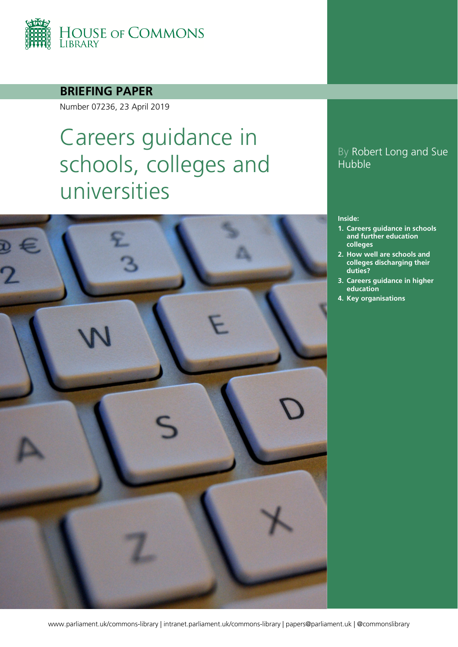

#### **BRIEFING PAPER**

Number 07236, 23 April 2019

# Careers guidance in schools, colleges and universities



#### By Robert Long and Sue Hubble

#### **Inside:**

- **1. [Careers guidance in schools](#page-3-0)  [and further education](#page-3-0)  [colleges](#page-3-0)**
- **2. [How well are schools and](#page-9-0)  [colleges discharging their](#page-9-0)  [duties?](#page-9-0)**
- **3. [Careers guidance in higher](#page-18-0)  [education](#page-18-0)**
- **4. [Key organisations](#page-20-0)**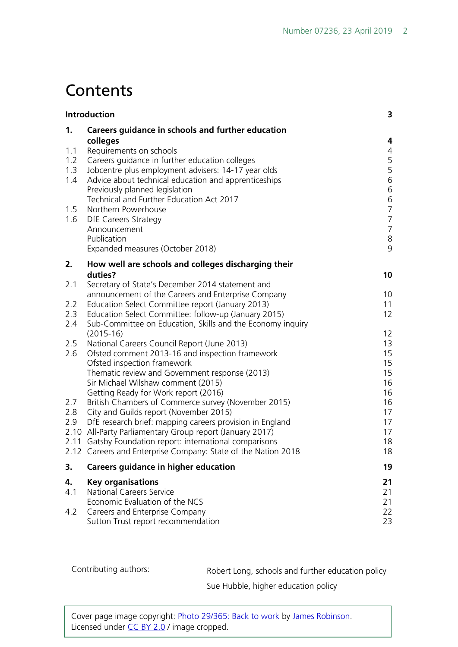## **Contents**

|     | Introduction                                                                                                              | 3                                     |
|-----|---------------------------------------------------------------------------------------------------------------------------|---------------------------------------|
| 1.  | Careers guidance in schools and further education                                                                         |                                       |
|     | colleges                                                                                                                  | 4                                     |
| 1.1 | Requirements on schools                                                                                                   | 4                                     |
| 1.2 | Careers guidance in further education colleges                                                                            | 5                                     |
| 1.3 | Jobcentre plus employment advisers: 14-17 year olds                                                                       | 5                                     |
| 1.4 | Advice about technical education and apprenticeships                                                                      | 6                                     |
|     | Previously planned legislation<br>Technical and Further Education Act 2017                                                | 6                                     |
| 1.5 | Northern Powerhouse                                                                                                       | $\begin{array}{c} 6 \\ 7 \end{array}$ |
| 1.6 | <b>DfE Careers Strategy</b>                                                                                               | $\overline{7}$                        |
|     | Announcement                                                                                                              | $\overline{7}$                        |
|     | Publication                                                                                                               | $\,8\,$                               |
|     | Expanded measures (October 2018)                                                                                          | 9                                     |
| 2.  | How well are schools and colleges discharging their                                                                       |                                       |
|     | duties?                                                                                                                   | 10                                    |
| 2.1 | Secretary of State's December 2014 statement and                                                                          |                                       |
|     | announcement of the Careers and Enterprise Company                                                                        | 10                                    |
| 2.2 | Education Select Committee report (January 2013)                                                                          | 11                                    |
| 2.3 | Education Select Committee: follow-up (January 2015)                                                                      | 12                                    |
| 2.4 | Sub-Committee on Education, Skills and the Economy inquiry                                                                |                                       |
| 2.5 | $(2015-16)$<br>National Careers Council Report (June 2013)                                                                | $12 \overline{ }$<br>13               |
| 2.6 | Ofsted comment 2013-16 and inspection framework                                                                           | 15                                    |
|     | Ofsted inspection framework                                                                                               | 15                                    |
|     | Thematic review and Government response (2013)                                                                            | 15                                    |
|     | Sir Michael Wilshaw comment (2015)                                                                                        | 16                                    |
|     | Getting Ready for Work report (2016)                                                                                      | 16                                    |
| 2.7 | British Chambers of Commerce survey (November 2015)                                                                       | 16                                    |
| 2.8 | City and Guilds report (November 2015)                                                                                    | 17                                    |
| 2.9 | DfE research brief: mapping careers provision in England                                                                  | 17                                    |
|     | 2.10 All-Party Parliamentary Group report (January 2017)                                                                  | 17                                    |
|     | 2.11 Gatsby Foundation report: international comparisons<br>2.12 Careers and Enterprise Company: State of the Nation 2018 | 18<br>18                              |
|     |                                                                                                                           |                                       |
| 3.  | Careers guidance in higher education                                                                                      | 19                                    |
| 4.  | <b>Key organisations</b>                                                                                                  | 21                                    |
| 4.1 | <b>National Careers Service</b>                                                                                           | 21                                    |
|     | Economic Evaluation of the NCS                                                                                            | 21                                    |
| 4.2 | Careers and Enterprise Company                                                                                            | 22                                    |
|     | Sutton Trust report recommendation                                                                                        | 23                                    |

Contributing authors: Robert Long, schools and further education policy

Sue Hubble, higher education policy

Cover page image copyright: [Photo 29/365: Back to work](https://www.flickr.com/photos/jamesbrobinson/8427672140/in/photolist-dQJ2j5-9gQpsE-2Qh9jn-bWE22s-9uaSN5-5YwrpD-7r8BsX-qLkBvW-quCoVz-jrksr-fB43SB-7jAHW-5W8maE-7rhvzM-64R48k-4pwE6Q-4pwSph-4saGBU-nNWwTM-dPzHMz-fu9CE2-7LDPNe-qu5xDv-3aJF9W-8qq24Z-5FRKk8-4tbEBK-pR6CJN-96iVEY-8h2ki9-9kU9rH-6j9ij2-4LsHeq-4LsHDJ-768Sk9-3aGiGA-8Brvqw-oqvp2P-pqqHcj-5CFFNw-83Faze-83Fbba-83FbwZ-4MDTaX-4ik3xy-5LFwr6-5t6xZp-hWiXnT-9UK32U-8qPmuu) by [James Robinson.](https://www.flickr.com/photos/jamesbrobinson/) Licensed under [CC BY 2.0](https://creativecommons.org/licenses/by-nc-sa/2.0/) / image cropped.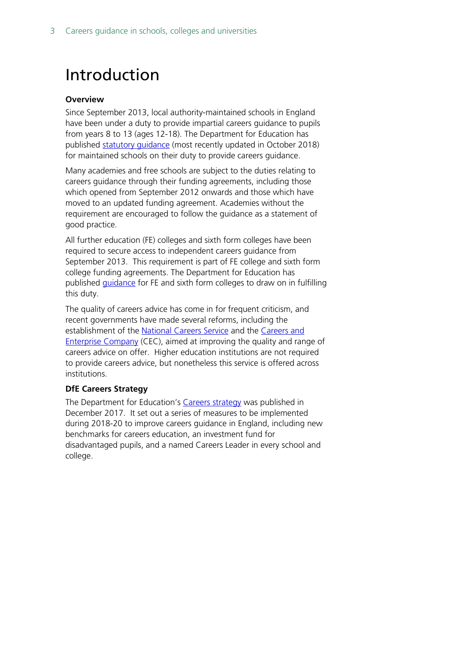## <span id="page-2-0"></span>Introduction

#### **Overview**

Since September 2013, local authority-maintained schools in England have been under a duty to provide impartial careers guidance to pupils from years 8 to 13 (ages 12-18). The Department for Education has published statutory quidance (most recently updated in October 2018) for maintained schools on their duty to provide careers guidance.

Many academies and free schools are subject to the duties relating to careers guidance through their funding agreements, including those which opened from September 2012 onwards and those which have moved to an updated funding agreement. Academies without the requirement are encouraged to follow the guidance as a statement of good practice.

All further education (FE) colleges and sixth form colleges have been required to secure access to independent careers guidance from September 2013. This requirement is part of FE college and sixth form college funding agreements. The Department for Education has published *[guidance](https://www.gov.uk/government/publications/careers-guidance-for-colleges--2)* for FE and sixth form colleges to draw on in fulfilling this duty.

The quality of careers advice has come in for frequent criticism, and recent governments have made several reforms, including the establishment of the [National Careers Service](https://nationalcareersservice.direct.gov.uk/Pages/Home.aspx) and the [Careers](http://www.careersandenterprise.co.uk/) and [Enterprise Company](http://www.careersandenterprise.co.uk/) (CEC), aimed at improving the quality and range of careers advice on offer. Higher education institutions are not required to provide careers advice, but nonetheless this service is offered across institutions.

#### **DfE Careers Strategy**

The Department for Education's [Careers strategy](https://www.gov.uk/government/publications/careers-strategy-making-the-most-of-everyones-skills-and-talents) was published in December 2017. It set out a series of measures to be implemented during 2018-20 to improve careers guidance in England, including new benchmarks for careers education, an investment fund for disadvantaged pupils, and a named Careers Leader in every school and college.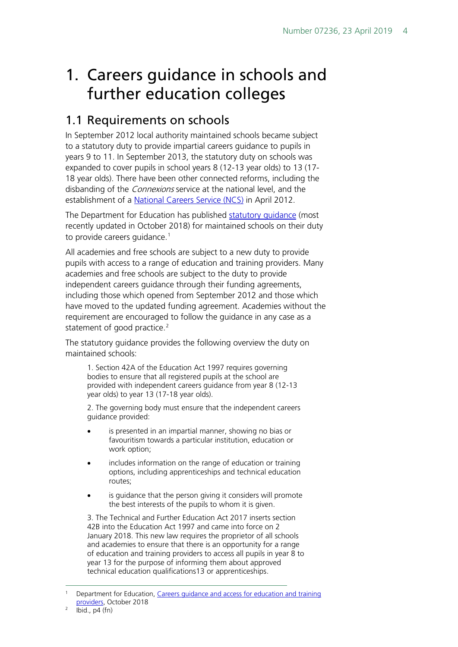## <span id="page-3-0"></span>1. Careers guidance in schools and further education colleges

## <span id="page-3-1"></span>1.1 Requirements on schools

In September 2012 local authority maintained schools became subject to a statutory duty to provide impartial careers guidance to pupils in years 9 to 11. In September 2013, the statutory duty on schools was expanded to cover pupils in school years 8 (12-13 year olds) to 13 (17- 18 year olds). There have been other connected reforms, including the disbanding of the *Connexions* service at the national level, and the establishment of a [National Careers Service \(NCS\)](https://nationalcareersservice.direct.gov.uk/Pages/Home.aspx) in April 2012.

The Department for Education has published [statutory guidance](https://www.gov.uk/government/publications/careers-guidance-provision-for-young-people-in-schools) (most recently updated in October 2018) for maintained schools on their duty to provide careers guidance.<sup>[1](#page-3-2)</sup>

All academies and free schools are subject to a new duty to provide pupils with access to a range of education and training providers. Many academies and free schools are subject to the duty to provide independent careers guidance through their funding agreements, including those which opened from September 2012 and those which have moved to the updated funding agreement. Academies without the requirement are encouraged to follow the guidance in any case as a statement of good practice.<sup>[2](#page-3-3)</sup>

The statutory guidance provides the following overview the duty on maintained schools:

1. Section 42A of the Education Act 1997 requires governing bodies to ensure that all registered pupils at the school are provided with independent careers guidance from year 8 (12-13 year olds) to year 13 (17-18 year olds).

2. The governing body must ensure that the independent careers guidance provided:

- is presented in an impartial manner, showing no bias or favouritism towards a particular institution, education or work option;
- includes information on the range of education or training options, including apprenticeships and technical education routes;
- is guidance that the person giving it considers will promote the best interests of the pupils to whom it is given.

3. The Technical and Further Education Act 2017 inserts section 42B into the Education Act 1997 and came into force on 2 January 2018. This new law requires the proprietor of all schools and academies to ensure that there is an opportunity for a range of education and training providers to access all pupils in year 8 to year 13 for the purpose of informing them about approved technical education qualifications13 or apprenticeships.

<span id="page-3-2"></span> <sup>1</sup> Department for Education, [Careers guidance and access for education and training](https://www.gov.uk/government/publications/careers-guidance-provision-for-young-people-in-schools)  [providers,](https://www.gov.uk/government/publications/careers-guidance-provision-for-young-people-in-schools) October 2018

<span id="page-3-3"></span> $Ibid., p4 (fn)$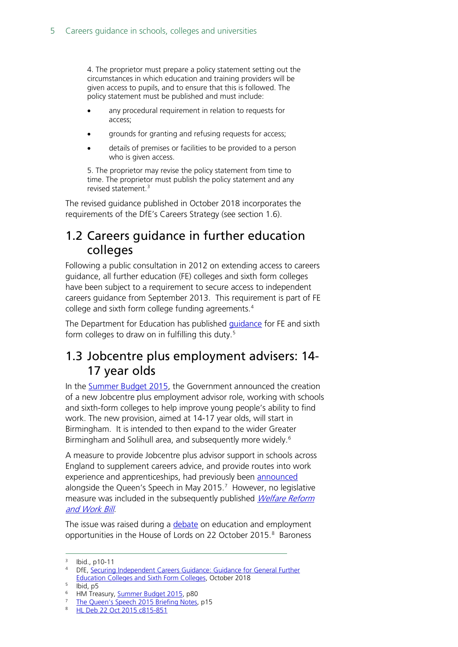4. The proprietor must prepare a policy statement setting out the circumstances in which education and training providers will be given access to pupils, and to ensure that this is followed. The policy statement must be published and must include:

- any procedural requirement in relation to requests for access;
- grounds for granting and refusing requests for access;
- details of premises or facilities to be provided to a person who is given access.

5. The proprietor may revise the policy statement from time to time. The proprietor must publish the policy statement and any revised statement.[3](#page-4-2)

The revised guidance published in October 2018 incorporates the requirements of the DfE's Careers Strategy (see section 1.6).

## <span id="page-4-0"></span>1.2 Careers guidance in further education colleges

Following a public consultation in 2012 on extending access to careers guidance, all further education (FE) colleges and sixth form colleges have been subject to a requirement to secure access to independent careers guidance from September 2013. This requirement is part of FE college and sixth form college funding agreements.<sup>[4](#page-4-3)</sup>

The Department for Education has published [guidance](https://www.gov.uk/government/publications/careers-guidance-for-colleges--2) for FE and sixth form colleges to draw on in fulfilling this duty.<sup>[5](#page-4-4)</sup>

#### <span id="page-4-1"></span>1.3 Jobcentre plus employment advisers: 14- 17 year olds

In the [Summer Budget 2015,](https://www.gov.uk/government/uploads/system/uploads/attachment_data/file/443232/50325_Summer_Budget_15_Web_Accessible.pdf) the Government announced the creation of a new Jobcentre plus employment advisor role, working with schools and sixth-form colleges to help improve young people's ability to find work. The new provision, aimed at 14-17 year olds, will start in Birmingham. It is intended to then expand to the wider Greater Birmingham and Solihull area, and subsequently more widely.<sup>[6](#page-4-5)</sup>

A measure to provide Jobcentre plus advisor support in schools across England to supplement careers advice, and provide routes into work experience and apprenticeships, had previously been [announced](https://www.gov.uk/government/uploads/system/uploads/attachment_data/file/430149/QS_lobby_pack_FINAL_NEW_2.pdf) alongside the Queen's Speech in May 2015.<sup>[7](#page-4-6)</sup> However, no legislative measure was included in the subsequently published *Welfare Reform* [and Work Bill](http://services.parliament.uk/bills/2015-16/welfarereformandwork.html).

The issue was raised during a [debate](http://www.publications.parliament.uk/pa/ld201516/ldhansrd/text/151022-0001.htm#15102244000632) on education and employment opportunities in the House of Lords on 22 October 2015.<sup>[8](#page-4-7)</sup> Baroness

<span id="page-4-2"></span> <sup>3</sup> Ibid., p10-11

<span id="page-4-3"></span><sup>4</sup> DfE, Securing Independent Careers Guidance: Guidance for General Further [Education Colleges and Sixth Form Colleges,](https://www.gov.uk/government/uploads/system/uploads/attachment_data/file/207240/Securing-Independent-Careers-Guidance.pdf) October 2018

<span id="page-4-4"></span> $5$  Ibid, p5

<span id="page-4-5"></span><sup>&</sup>lt;sup>6</sup> HM Treasury, **Summer Budget 2015**, p80

<span id="page-4-6"></span><sup>&</sup>lt;sup>7</sup> [The Queen's Speech 2015 Briefing Notes,](https://www.gov.uk/government/uploads/system/uploads/attachment_data/file/430149/QS_lobby_pack_FINAL_NEW_2.pdf) p15

<span id="page-4-7"></span><sup>8</sup> [HL Deb 22 Oct 2015 c815-851](http://www.publications.parliament.uk/pa/ld201516/ldhansrd/text/151022-0001.htm#15102244000632)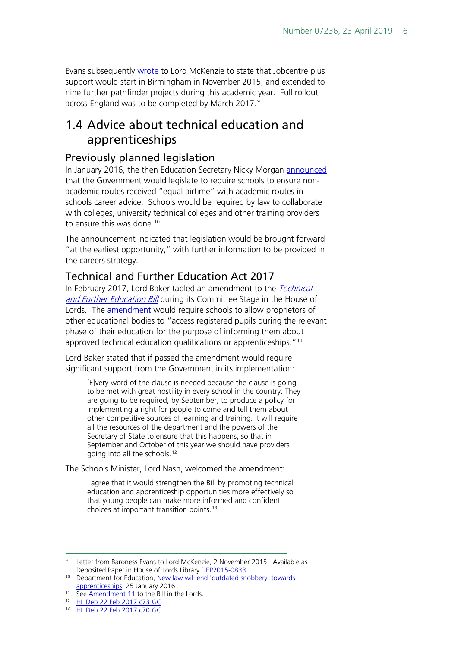Evans subsequently [wrote](http://data.parliament.uk/DepositedPapers/Files/DEP2015-0833/Lord_McKenzie_of_Luton_-_B_Stedman.pdf) to Lord McKenzie to state that Jobcentre plus support would start in Birmingham in November 2015, and extended to nine further pathfinder projects during this academic year. Full rollout across England was to be completed by March 2017.<sup>[9](#page-5-3)</sup>

## <span id="page-5-0"></span>1.4 Advice about technical education and apprenticeships

#### <span id="page-5-1"></span>Previously planned legislation

In January 2016, the then Education Secretary Nicky Morgan [announced](https://www.gov.uk/government/news/new-law-will-end-outdated-snobbery-towards-apprenticeships) that the Government would legislate to require schools to ensure nonacademic routes received "equal airtime" with academic routes in schools career advice. Schools would be required by law to collaborate with colleges, university technical colleges and other training providers to ensure this was done.<sup>[10](#page-5-4)</sup>

The announcement indicated that legislation would be brought forward "at the earliest opportunity," with further information to be provided in the careers strategy.

#### <span id="page-5-2"></span>Technical and Further Education Act 2017

In February 2017, Lord Baker tabled an amendment to the Technical [and Further Education Bill](http://services.parliament.uk/bills/2016-17/technicalandfurthereducation.html) during its Committee Stage in the House of Lords. The **amendment** would require schools to allow proprietors of other educational bodies to "access registered pupils during the relevant phase of their education for the purpose of informing them about approved technical education qualifications or apprenticeships."<sup>[11](#page-5-5)</sup>

Lord Baker stated that if passed the amendment would require significant support from the Government in its implementation:

[E]very word of the clause is needed because the clause is going to be met with great hostility in every school in the country. They are going to be required, by September, to produce a policy for implementing a right for people to come and tell them about other competitive sources of learning and training. It will require all the resources of the department and the powers of the Secretary of State to ensure that this happens, so that in September and October of this year we should have providers going into all the schools.[12](#page-5-6)

The Schools Minister, Lord Nash, welcomed the amendment:

I agree that it would strengthen the Bill by promoting technical education and apprenticeship opportunities more effectively so that young people can make more informed and confident choices at important transition points.[13](#page-5-7)

<span id="page-5-3"></span><sup>&</sup>lt;sup>9</sup> Letter from Baroness Evans to Lord McKenzie, 2 November 2015. Available as Deposited Paper in House of Lords Library [DEP2015-0833](http://data.parliament.uk/DepositedPapers/Files/DEP2015-0833/Lord_McKenzie_of_Luton_-_B_Stedman.pdf)

<span id="page-5-4"></span><sup>&</sup>lt;sup>10</sup> Department for Education, New law will end 'outdated snobbery' towards [apprenticeships,](https://www.gov.uk/government/news/new-law-will-end-outdated-snobbery-towards-apprenticeships) 25 January 2016

<span id="page-5-5"></span><sup>&</sup>lt;sup>11</sup> See [Amendment 11](https://www.publications.parliament.uk/pa/bills/lbill/2016-2017/0088/17088-I.pdf) to the Bill in the Lords.

<span id="page-5-6"></span><sup>12</sup> [HL Deb 22 Feb 2017 c73 GC](https://hansard.parliament.uk/lords/2017-02-22/debates/9010AEB3-A92B-45A2-BB37-4F398DEB0E43/TechnicalAndFurtherEducationBill)

<span id="page-5-7"></span><sup>13</sup> [HL Deb 22 Feb 2017 c70 GC](https://hansard.parliament.uk/lords/2017-02-22/debates/9010AEB3-A92B-45A2-BB37-4F398DEB0E43/TechnicalAndFurtherEducationBill)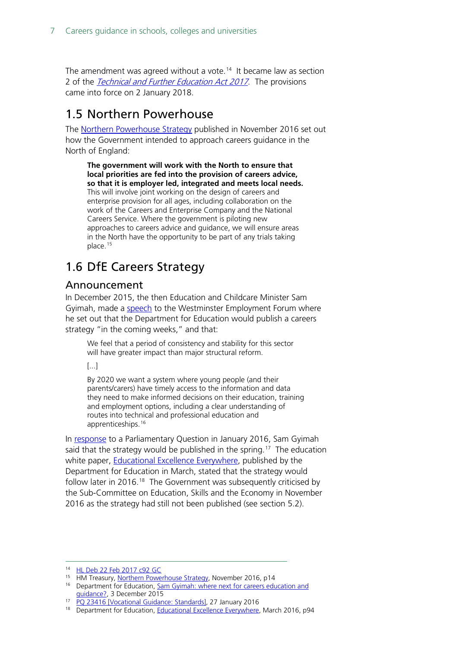The amendment was agreed without a vote.<sup>[14](#page-6-3)</sup> It became law as section 2 of the [Technical and Further Education Act 2017](http://www.legislation.gov.uk/ukpga/2017/19/contents/enacted/data.htm). The provisions came into force on 2 January 2018.

## <span id="page-6-0"></span>1.5 Northern Powerhouse

The [Northern Powerhouse Strategy](https://www.gov.uk/government/publications/northern-powerhouse-strategy) published in November 2016 set out how the Government intended to approach careers guidance in the North of England:

**The government will work with the North to ensure that local priorities are fed into the provision of careers advice, so that it is employer led, integrated and meets local needs.** This will involve joint working on the design of careers and enterprise provision for all ages, including collaboration on the work of the Careers and Enterprise Company and the National Careers Service. Where the government is piloting new approaches to careers advice and guidance, we will ensure areas in the North have the opportunity to be part of any trials taking place.<sup>[15](#page-6-4)</sup>

## <span id="page-6-1"></span>1.6 DfE Careers Strategy

#### <span id="page-6-2"></span>Announcement

In December 2015, the then Education and Childcare Minister Sam Gyimah, made a [speech](https://www.gov.uk/government/speeches/sam-gyimah-where-next-for-careers-education-and-guidance) to the Westminster Employment Forum where he set out that the Department for Education would publish a careers strategy "in the coming weeks," and that:

We feel that a period of consistency and stability for this sector will have greater impact than major structural reform.

[...]

By 2020 we want a system where young people (and their parents/carers) have timely access to the information and data they need to make informed decisions on their education, training and employment options, including a clear understanding of routes into technical and professional education and apprenticeships.[16](#page-6-5)

In [response](http://www.parliament.uk/written-questions-answers-statements/written-question/commons/2016-01-20/23469) to a Parliamentary Question in January 2016, Sam Gyimah said that the strategy would be published in the spring.<sup>[17](#page-6-6)</sup> The education white paper, **Educational Excellence Everywhere**, published by the Department for Education in March, stated that the strategy would follow later in 2016.<sup>[18](#page-6-7)</sup> The Government was subsequently criticised by the Sub-Committee on Education, Skills and the Economy in November 2016 as the strategy had still not been published (see section 5.2).

 <sup>14</sup> [HL Deb 22 Feb 2017 c92](https://hansard.parliament.uk/lords/2017-02-22/debates/9010AEB3-A92B-45A2-BB37-4F398DEB0E43/TechnicalAndFurtherEducationBill) GC

<span id="page-6-4"></span><span id="page-6-3"></span><sup>15</sup> HM Treasury, [Northern Powerhouse Strategy,](https://www.gov.uk/government/uploads/system/uploads/attachment_data/file/571562/NPH_strategy_web.pdf) November 2016, p14

<span id="page-6-5"></span><sup>&</sup>lt;sup>16</sup> Department for Education, Sam Gyimah: where next for careers education and [guidance?,](https://www.gov.uk/government/speeches/sam-gyimah-where-next-for-careers-education-and-guidance) 3 December 2015

<span id="page-6-7"></span><span id="page-6-6"></span><sup>17</sup> [PQ 23416 \[Vocational Guidance: Standards\],](http://www.parliament.uk/written-questions-answers-statements/written-question/commons/2016-01-20/23469) 27 January 2016

<sup>&</sup>lt;sup>18</sup> Department for Education, [Educational Excellence Everywhere,](https://www.gov.uk/government/uploads/system/uploads/attachment_data/file/508447/Educational_Excellence_Everywhere.pdf) March 2016, p94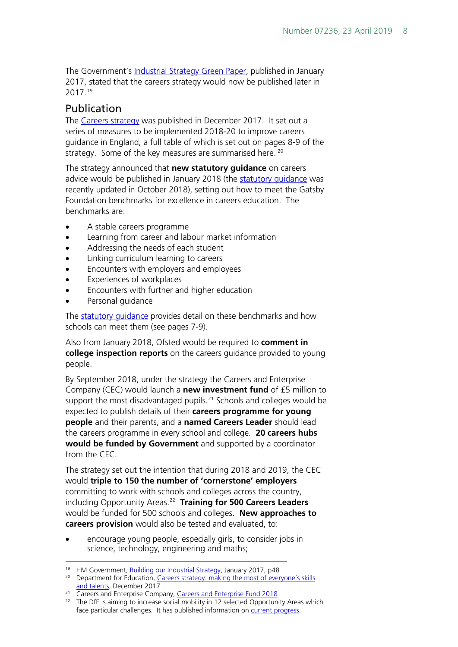The Government's [Industrial Strategy Green Paper,](https://beisgovuk.citizenspace.com/strategy/industrial-strategy/supporting_documents/buildingourindustrialstrategygreenpaper.pdf) published in January 2017, stated that the careers strategy would now be published later in 2017.[19](#page-7-1)

#### <span id="page-7-0"></span>Publication

The [Careers strategy](https://www.gov.uk/government/publications/careers-strategy-making-the-most-of-everyones-skills-and-talents) was published in December 2017. It set out a series of measures to be implemented 2018-20 to improve careers guidance in England, a full table of which is set out on pages 8-9 of the strategy. Some of the key measures are summarised here. [20](#page-7-2)

The strategy announced that **new statutory guidance** on careers advice would be published in January 2018 (the statutory quidance was recently updated in October 2018), setting out how to meet the Gatsby Foundation benchmarks for excellence in careers education. The benchmarks are:

- A stable careers programme
- Learning from career and labour market information
- Addressing the needs of each student
- Linking curriculum learning to careers
- Encounters with employers and employees
- Experiences of workplaces
- Encounters with further and higher education
- Personal quidance

The [statutory guidance](https://www.gov.uk/government/publications/careers-guidance-provision-for-young-people-in-schools) provides detail on these benchmarks and how schools can meet them (see pages 7-9).

Also from January 2018, Ofsted would be required to **comment in college inspection reports** on the careers guidance provided to young people.

By September 2018, under the strategy the Careers and Enterprise Company (CEC) would launch a **new investment fund** of £5 million to support the most disadvantaged pupils.<sup>[21](#page-7-3)</sup> Schools and colleges would be expected to publish details of their **careers programme for young people** and their parents, and a **named Careers Leader** should lead the careers programme in every school and college. **20 careers hubs would be funded by Government** and supported by a coordinator from the CEC.

The strategy set out the intention that during 2018 and 2019, the CEC would **triple to 150 the number of 'cornerstone' employers** committing to work with schools and colleges across the country, including Opportunity Areas. [22](#page-7-4) **Training for 500 Careers Leaders** would be funded for 500 schools and colleges. **New approaches to careers provision** would also be tested and evaluated, to:

• encourage young people, especially girls, to consider jobs in science, technology, engineering and maths;

<span id="page-7-3"></span><sup>21</sup> Careers and Enterprise Company, [Careers and Enterprise Fund 2018](https://www.careersandenterprise.co.uk/funding/careers-enterprise-fund)

<span id="page-7-4"></span><sup>22</sup> The DfE is aiming to increase social mobility in 12 selected Opportunity Areas which face particular challenges. It has published information on [current progress.](https://www.gov.uk/government/publications/social-mobility-and-opportunity-areas)

<sup>&</sup>lt;sup>19</sup> HM Government, [Building our Industrial Strategy,](https://beisgovuk.citizenspace.com/strategy/industrial-strategy/supporting_documents/buildingourindustrialstrategygreenpaper.pdf) January 2017, p48

<span id="page-7-2"></span><span id="page-7-1"></span><sup>&</sup>lt;sup>20</sup> Department for Education, Careers strategy: making the most of everyone's skills [and talents,](https://www.gov.uk/government/uploads/system/uploads/attachment_data/file/664319/Careers_strategy.pdf) December 2017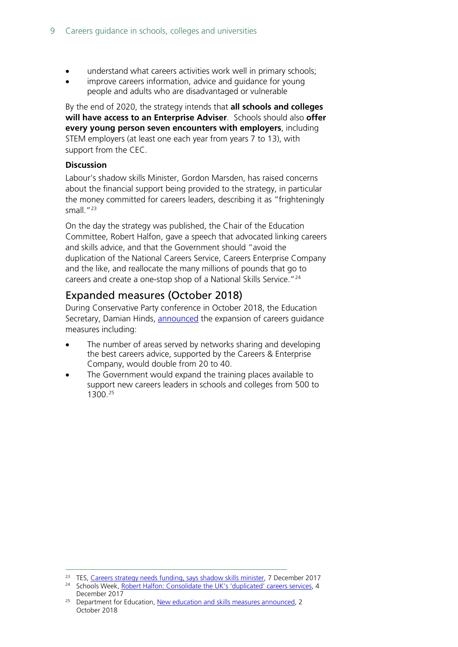- understand what careers activities work well in primary schools;
- improve careers information, advice and quidance for young people and adults who are disadvantaged or vulnerable

By the end of 2020, the strategy intends that **all schools and colleges will have access to an Enterprise Adviser**. Schools should also **offer every young person seven encounters with employers**, including STEM employers (at least one each year from years 7 to 13), with support from the CEC.

#### **Discussion**

Labour's shadow skills Minister, Gordon Marsden, has raised concerns about the financial support being provided to the strategy, in particular the money committed for careers leaders, describing it as "frighteningly small."[23](#page-8-1)

On the day the strategy was published, the Chair of the Education Committee, Robert Halfon, gave a speech that advocated linking careers and skills advice, and that the Government should "avoid the duplication of the National Careers Service, Careers Enterprise Company and the like, and reallocate the many millions of pounds that go to careers and create a one-stop shop of a National Skills Service."<sup>[24](#page-8-2)</sup>

#### <span id="page-8-0"></span>Expanded measures (October 2018)

During Conservative Party conference in October 2018, the Education Secretary, Damian Hinds, [announced](https://www.gov.uk/government/news/new-education-and-skills-measures-announced--2) the expansion of careers guidance measures including:

- The number of areas served by networks sharing and developing the best careers advice, supported by the Careers & Enterprise Company, would double from 20 to 40.
- The Government would expand the training places available to support new careers leaders in schools and colleges from 500 to 1300.[25](#page-8-3)

<span id="page-8-1"></span><sup>&</sup>lt;sup>23</sup> TES, [Careers strategy needs funding, says shadow skills minister,](https://www.tes.com/news/further-education/breaking-news/careers-strategy-needs-funding-says-shadow-skills-minister) 7 December 2017

<span id="page-8-2"></span><sup>&</sup>lt;sup>24</sup> Schools Week, [Robert Halfon: Consolidate the UK's 'duplicated' careers services,](https://feweek.co.uk/2017/12/04/robert-halfon-consolidate-the-uks-duplicated-careers-services/) 4 December 2017

<span id="page-8-3"></span><sup>&</sup>lt;sup>25</sup> Department for Education, [New education and skills measures announced,](https://www.gov.uk/government/news/new-education-and-skills-measures-announced--2) 2 October 2018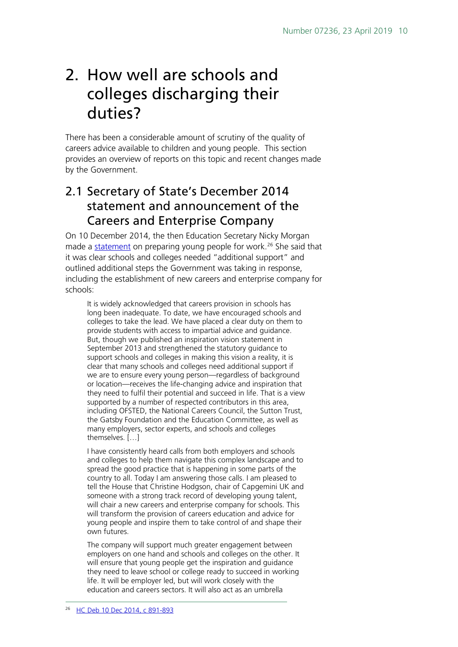## <span id="page-9-0"></span>2. How well are schools and colleges discharging their duties?

There has been a considerable amount of scrutiny of the quality of careers advice available to children and young people. This section provides an overview of reports on this topic and recent changes made by the Government.

## <span id="page-9-1"></span>2.1 Secretary of State's December 2014 statement and announcement of the Careers and Enterprise Company

On 10 December 2014, the then Education Secretary Nicky Morgan made a <u>statement</u> on preparing young people for work.<sup>[26](#page-9-2)</sup> She said that it was clear schools and colleges needed "additional support" and outlined additional steps the Government was taking in response, including the establishment of new careers and enterprise company for schools:

It is widely acknowledged that careers provision in schools has long been inadequate. To date, we have encouraged schools and colleges to take the lead. We have placed a clear duty on them to provide students with access to impartial advice and guidance. But, though we published an inspiration vision statement in September 2013 and strengthened the statutory guidance to support schools and colleges in making this vision a reality, it is clear that many schools and colleges need additional support if we are to ensure every young person—regardless of background or location—receives the life-changing advice and inspiration that they need to fulfil their potential and succeed in life. That is a view supported by a number of respected contributors in this area, including OFSTED, the National Careers Council, the Sutton Trust, the Gatsby Foundation and the Education Committee, as well as many employers, sector experts, and schools and colleges themselves. […]

I have consistently heard calls from both employers and schools and colleges to help them navigate this complex landscape and to spread the good practice that is happening in some parts of the country to all. Today I am answering those calls. I am pleased to tell the House that Christine Hodgson, chair of Capgemini UK and someone with a strong track record of developing young talent, will chair a new careers and enterprise company for schools. This will transform the provision of careers education and advice for young people and inspire them to take control of and shape their own futures.

<span id="page-9-2"></span>The company will support much greater engagement between employers on one hand and schools and colleges on the other. It will ensure that young people get the inspiration and guidance they need to leave school or college ready to succeed in working life. It will be employer led, but will work closely with the education and careers sectors. It will also act as an umbrella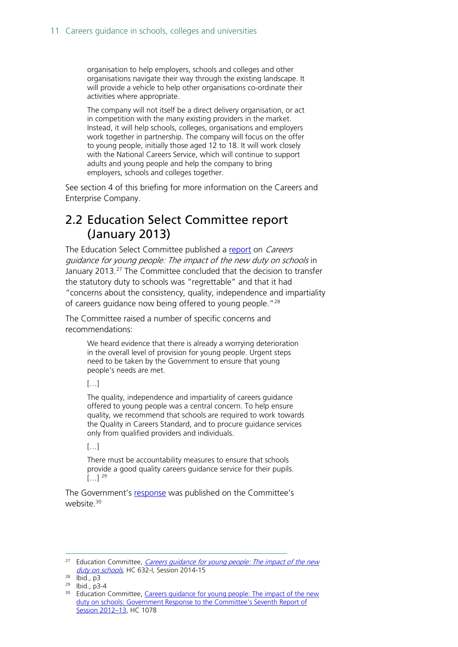organisation to help employers, schools and colleges and other organisations navigate their way through the existing landscape. It will provide a vehicle to help other organisations co-ordinate their activities where appropriate.

The company will not itself be a direct delivery organisation, or act in competition with the many existing providers in the market. Instead, it will help schools, colleges, organisations and employers work together in partnership. The company will focus on the offer to young people, initially those aged 12 to 18. It will work closely with the National Careers Service, which will continue to support adults and young people and help the company to bring employers, schools and colleges together.

See section 4 of this briefing for more information on the Careers and Enterprise Company.

### <span id="page-10-0"></span>2.2 Education Select Committee report (January 2013)

The Education Select Committee published a [report](http://www.publications.parliament.uk/pa/cm201213/cmselect/cmeduc/632/632.pdf) on *Careers* guidance for young people: The impact of the new duty on schools in January 2013.[27](#page-10-1) The Committee concluded that the decision to transfer the statutory duty to schools was "regrettable" and that it had "concerns about the consistency, quality, independence and impartiality of careers guidance now being offered to young people."<sup>[28](#page-10-2)</sup>

The Committee raised a number of specific concerns and recommendations:

> We heard evidence that there is already a worrying deterioration in the overall level of provision for young people. Urgent steps need to be taken by the Government to ensure that young people's needs are met.

#### […]

The quality, independence and impartiality of careers guidance offered to young people was a central concern. To help ensure quality, we recommend that schools are required to work towards the Quality in Careers Standard, and to procure guidance services only from qualified providers and individuals.

#### […]

There must be accountability measures to ensure that schools provide a good quality careers guidance service for their pupils.  $[...]$  [29](#page-10-3)

The Government's [response](http://www.publications.parliament.uk/pa/cm201213/cmselect/cmeduc/1078/1078.pdf) was published on the Committee's website.<sup>[30](#page-10-4)</sup>

<span id="page-10-1"></span><sup>&</sup>lt;sup>27</sup> Education Committee, *Careers guidance for young people: The impact of the new* duty on schools</u>, HC 632-I, Session 2014-15

<span id="page-10-2"></span><sup>28</sup> Ibid., p3

<span id="page-10-3"></span><sup>29</sup> Ibid., p3-4

<span id="page-10-4"></span><sup>&</sup>lt;sup>30</sup> Education Committee, Careers guidance for young people: The impact of the new [duty on schools: Government Response to the Committee's Seventh Report of](http://www.publications.parliament.uk/pa/cm201213/cmselect/cmeduc/1078/1078.pdf)  [Session 2012–13,](http://www.publications.parliament.uk/pa/cm201213/cmselect/cmeduc/1078/1078.pdf) HC 1078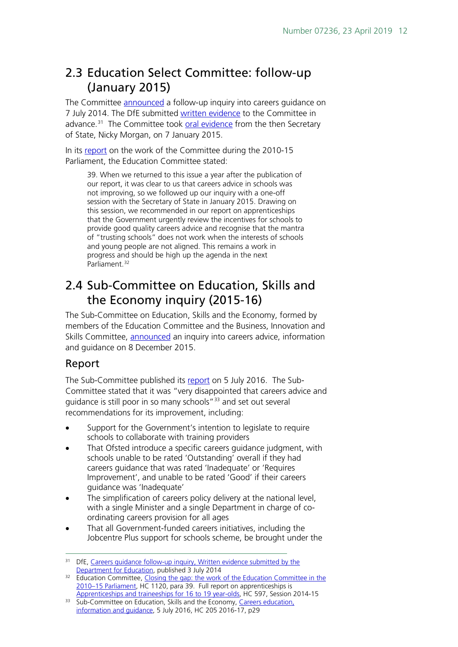## <span id="page-11-0"></span>2.3 Education Select Committee: follow-up (January 2015)

The Committee [announced](http://www.parliament.uk/business/committees/committees-a-z/commons-select/education-committee/news/careers-follow-up-tor/) a follow-up inquiry into careers guidance on 7 July 2014. The DfE submitted [written evidence](http://www.parliament.uk/documents/commons-committees/Education/ESC-Careers-guidance-follow-up-DfE-written-evidence.pdf) to the Committee in advance.<sup>[31](#page-11-2)</sup> The Committee took [oral evidence](http://data.parliament.uk/writtenevidence/committeeevidence.svc/evidencedocument/education-committee/careers-guidance-followup/oral/17257.pdf) from the then Secretary of State, Nicky Morgan, on 7 January 2015.

In its [report](http://www.publications.parliament.uk/pa/cm201415/cmselect/cmeduc/1120/1120.pdf) on the work of the Committee during the 2010-15 Parliament, the Education Committee stated:

39. When we returned to this issue a year after the publication of our report, it was clear to us that careers advice in schools was not improving, so we followed up our inquiry with a one-off session with the Secretary of State in January 2015. Drawing on this session, we recommended in our report on apprenticeships that the Government urgently review the incentives for schools to provide good quality careers advice and recognise that the mantra of "trusting schools" does not work when the interests of schools and young people are not aligned. This remains a work in progress and should be high up the agenda in the next Parliament.<sup>[32](#page-11-3)</sup>

## <span id="page-11-1"></span>2.4 Sub-Committee on Education, Skills and the Economy inquiry (2015-16)

The Sub-Committee on Education, Skills and the Economy, formed by members of the Education Committee and the Business, Innovation and Skills Committee, [announced](http://www.parliament.uk/business/committees/committees-a-z/commons-select/education-skills-and-economy/news-parliament-2015/career-advice-evidence-15-16/) an inquiry into careers advice, information and guidance on 8 December 2015.

#### Report

The Sub-Committee published its [report](http://www.parliament.uk/business/committees/committees-a-z/commons-select/education-skills-and-economy/news-parliament-2015/careers-advice-report-published-16-17/) on 5 July 2016. The Sub-Committee stated that it was "very disappointed that careers advice and guidance is still poor in so many schools<sup>"[33](#page-11-4)</sup> and set out several recommendations for its improvement, including:

- Support for the Government's intention to legislate to require schools to collaborate with training providers
- That Ofsted introduce a specific careers guidance judgment, with schools unable to be rated 'Outstanding' overall if they had careers guidance that was rated 'Inadequate' or 'Requires Improvement', and unable to be rated 'Good' if their careers guidance was 'Inadequate'
- The simplification of careers policy delivery at the national level, with a single Minister and a single Department in charge of coordinating careers provision for all ages
- That all Government-funded careers initiatives, including the Jobcentre Plus support for schools scheme, be brought under the

<span id="page-11-2"></span><sup>&</sup>lt;sup>31</sup> DfE, Careers quidance follow-up inquiry, Written evidence submitted by the [Department for Education](http://www.parliament.uk/documents/commons-committees/Education/ESC-Careers-guidance-follow-up-DfE-written-evidence.pdf), published 3 July 2014

<span id="page-11-3"></span><sup>&</sup>lt;sup>32</sup> Education Committee, Closing the gap: the work of the Education Committee in the [2010–15 Parliament,](http://www.publications.parliament.uk/pa/cm201415/cmselect/cmeduc/1120/1120.pdf) HC 1120, para 39. Full report on apprenticeships is [Apprenticeships and traineeships for 16 to 19 year-olds,](http://www.publications.parliament.uk/pa/cm201415/cmselect/cmeduc/597/597.pdf) HC 597, Session 2014-15

<span id="page-11-4"></span><sup>&</sup>lt;sup>33</sup> Sub-Committee on Education, Skills and the Economy, Careers education, [information and guidance,](http://www.publications.parliament.uk/pa/cm201617/cmselect/cmese/205/205.pdf) 5 July 2016, HC 205 2016-17, p29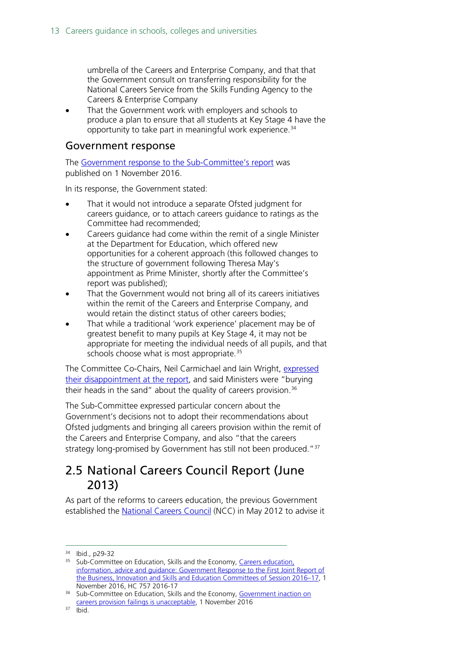umbrella of the Careers and Enterprise Company, and that that the Government consult on transferring responsibility for the National Careers Service from the Skills Funding Agency to the Careers & Enterprise Company

That the Government work with employers and schools to produce a plan to ensure that all students at Key Stage 4 have the opportunity to take part in meaningful work experience.<sup>[34](#page-12-1)</sup>

#### Government response

The [Government response to the Sub-Committee's report](http://www.parliament.uk/business/committees/committees-a-z/commons-select/education-skills-and-economy/news-parliament-2015/careers-advice-government-response-16-17/) was published on 1 November 2016.

In its response, the Government stated:

- That it would not introduce a separate Ofsted judgment for careers guidance, or to attach careers guidance to ratings as the Committee had recommended;
- Careers guidance had come within the remit of a single Minister at the Department for Education, which offered new opportunities for a coherent approach (this followed changes to the structure of government following Theresa May's appointment as Prime Minister, shortly after the Committee's report was published);
- That the Government would not bring all of its careers initiatives within the remit of the Careers and Enterprise Company, and would retain the distinct status of other careers bodies;
- That while a traditional 'work experience' placement may be of greatest benefit to many pupils at Key Stage 4, it may not be appropriate for meeting the individual needs of all pupils, and that schools choose what is most appropriate.<sup>[35](#page-12-2)</sup>

The Committee Co-Chairs, Neil Carmichael and Iain Wright, [expressed](http://www.parliament.uk/business/committees/committees-a-z/commons-select/education-skills-and-economy/news-parliament-2015/careers-advice-government-response-16-17/)  [their disappointment at the report,](http://www.parliament.uk/business/committees/committees-a-z/commons-select/education-skills-and-economy/news-parliament-2015/careers-advice-government-response-16-17/) and said Ministers were "burying their heads in the sand" about the quality of careers provision.<sup>[36](#page-12-3)</sup>

The Sub-Committee expressed particular concern about the Government's decisions not to adopt their recommendations about Ofsted judgments and bringing all careers provision within the remit of the Careers and Enterprise Company, and also "that the careers strategy long-promised by Government has still not been produced."<sup>[37](#page-12-4)</sup>

## <span id="page-12-0"></span>2.5 National Careers Council Report (June 2013)

As part of the reforms to careers education, the previous Government established the [National Careers Council](https://www.gov.uk/government/groups/the-national-careers-council) (NCC) in May 2012 to advise it

 <sup>34</sup> Ibid., p29-32

<span id="page-12-2"></span><span id="page-12-1"></span><sup>&</sup>lt;sup>35</sup> Sub-Committee on Education, Skills and the Economy, Careers education, [information, advice and guidance: Government Response to the First Joint Report of](http://www.publications.parliament.uk/pa/cm201617/cmselect/cmese/757/757.pdf)  [the Business, Innovation and Skills and Education Committees of Session 2016–17,](http://www.publications.parliament.uk/pa/cm201617/cmselect/cmese/757/757.pdf) 1 November 2016, HC 757 2016-17

<span id="page-12-3"></span><sup>36</sup> Sub-Committee on Education, Skills and the Economy, [Government inaction on](http://www.parliament.uk/business/committees/committees-a-z/commons-select/education-skills-and-economy/news-parliament-2015/careers-advice-government-response-16-17/)  [careers provision failings is unacceptable,](http://www.parliament.uk/business/committees/committees-a-z/commons-select/education-skills-and-economy/news-parliament-2015/careers-advice-government-response-16-17/) 1 November 2016

<span id="page-12-4"></span><sup>37</sup> Ibid.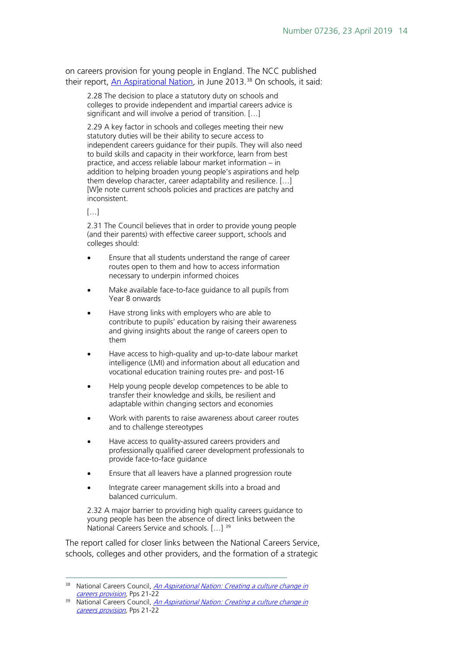on careers provision for young people in England. The NCC published their report, [An Aspirational Nation](https://www.gov.uk/government/uploads/system/uploads/attachment_data/file/354644/bis-13-919-national-careers-council-report-an-aspirational-nation-creating-a-culture-change-in-careers-provison.pdf), in June 2013.<sup>[38](#page-13-0)</sup> On schools, it said:

2.28 The decision to place a statutory duty on schools and colleges to provide independent and impartial careers advice is significant and will involve a period of transition. […]

2.29 A key factor in schools and colleges meeting their new statutory duties will be their ability to secure access to independent careers guidance for their pupils. They will also need to build skills and capacity in their workforce, learn from best practice, and access reliable labour market information – in addition to helping broaden young people's aspirations and help them develop character, career adaptability and resilience. […] [W]e note current schools policies and practices are patchy and inconsistent.

 $[...]$ 

2.31 The Council believes that in order to provide young people (and their parents) with effective career support, schools and colleges should:

- Ensure that all students understand the range of career routes open to them and how to access information necessary to underpin informed choices
- Make available face-to-face guidance to all pupils from Year 8 onwards
- Have strong links with employers who are able to contribute to pupils' education by raising their awareness and giving insights about the range of careers open to them
- Have access to high-quality and up-to-date labour market intelligence (LMI) and information about all education and vocational education training routes pre- and post-16
- Help young people develop competences to be able to transfer their knowledge and skills, be resilient and adaptable within changing sectors and economies
- Work with parents to raise awareness about career routes and to challenge stereotypes
- Have access to quality-assured careers providers and professionally qualified career development professionals to provide face-to-face guidance
- Ensure that all leavers have a planned progression route
- Integrate career management skills into a broad and balanced curriculum.

2.32 A major barrier to providing high quality careers guidance to young people has been the absence of direct links between the National Careers Service and schools. […] [39](#page-13-1)

The report called for closer links between the National Careers Service, schools, colleges and other providers, and the formation of a strategic

<span id="page-13-0"></span><sup>&</sup>lt;sup>38</sup> National Careers Council, *An Aspirational Nation: Creating a culture change in* [careers provision,](https://www.gov.uk/government/uploads/system/uploads/attachment_data/file/354644/bis-13-919-national-careers-council-report-an-aspirational-nation-creating-a-culture-change-in-careers-provison.pdf) Pps 21-22

<span id="page-13-1"></span><sup>&</sup>lt;sup>39</sup> National Careers Council, An Aspirational Nation: Creating a culture change in [careers provision,](https://www.gov.uk/government/uploads/system/uploads/attachment_data/file/354644/bis-13-919-national-careers-council-report-an-aspirational-nation-creating-a-culture-change-in-careers-provison.pdf) Pps 21-22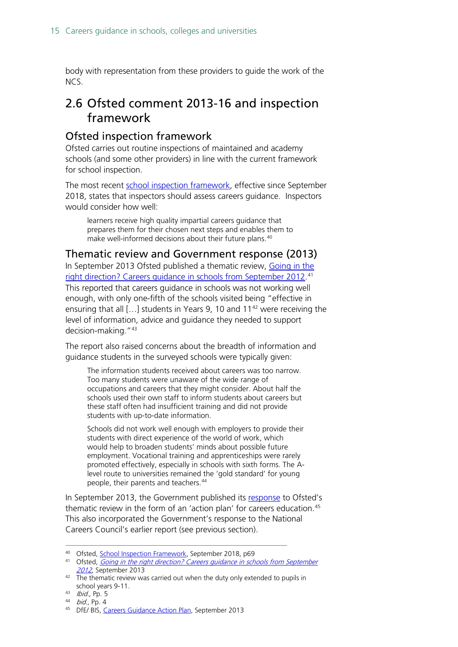body with representation from these providers to guide the work of the NCS.

## <span id="page-14-0"></span>2.6 Ofsted comment 2013-16 and inspection framework

#### <span id="page-14-1"></span>Ofsted inspection framework

Ofsted carries out routine inspections of maintained and academy schools (and some other providers) in line with the current framework for school inspection.

The most recent [school inspection framework,](https://www.gov.uk/government/publications/school-inspection-handbook-from-september-2015) effective since September 2018, states that inspectors should assess careers guidance. Inspectors would consider how well:

learners receive high quality impartial careers guidance that prepares them for their chosen next steps and enables them to make well-informed decisions about their future plans. [40](#page-14-3)

<span id="page-14-2"></span>Thematic review and Government response (2013) In September 2013 Ofsted published a thematic review, [Going in the](http://webarchive.nationalarchives.gov.uk/20141124154759/http:/www.ofsted.gov.uk/sites/default/files/documents/surveys-and-good-practice/g/Going%20in%20the%20right%20direction.pdf)  [right direction? Careers guidance in schools from September 2012.](http://webarchive.nationalarchives.gov.uk/20141124154759/http:/www.ofsted.gov.uk/sites/default/files/documents/surveys-and-good-practice/g/Going%20in%20the%20right%20direction.pdf) [41](#page-14-4) This reported that careers guidance in schools was not working well enough, with only one-fifth of the schools visited being "effective in ensuring that all  $\left[ \ldots \right]$  students in Years 9, 10 and 11<sup>[42](#page-14-5)</sup> were receiving the

level of information, advice and guidance they needed to support decision-making."[43](#page-14-6) The report also raised concerns about the breadth of information and

guidance students in the surveyed schools were typically given:

The information students received about careers was too narrow. Too many students were unaware of the wide range of occupations and careers that they might consider. About half the schools used their own staff to inform students about careers but these staff often had insufficient training and did not provide students with up-to-date information.

Schools did not work well enough with employers to provide their students with direct experience of the world of work, which would help to broaden students' minds about possible future employment. Vocational training and apprenticeships were rarely promoted effectively, especially in schools with sixth forms. The Alevel route to universities remained the 'gold standard' for young people, their parents and teachers.<sup>[44](#page-14-7)</sup>

In September 2013, the Government published its [response](https://www.gov.uk/government/uploads/system/uploads/attachment_data/file/238791/Careers_Guidance_Action_Plan.pdf) to Ofsted's thematic review in the form of an 'action plan' for careers education.<sup>[45](#page-14-8)</sup> This also incorporated the Government's response to the National Careers Council's earlier report (see previous section).

<span id="page-14-3"></span> <sup>40</sup> Ofsted, [School Inspection Framework,](https://assets.publishing.service.gov.uk/government/uploads/system/uploads/attachment_data/file/730127/School_inspection_handbook_section_5_270718.pdf) September 2018, p69

<span id="page-14-4"></span><sup>41</sup> Ofsted, Going in the right direction? Careers guidance in schools from September [2012,](http://webarchive.nationalarchives.gov.uk/20141124154759/http:/www.ofsted.gov.uk/sites/default/files/documents/surveys-and-good-practice/g/Going%20in%20the%20right%20direction.pdf) September 2013

<span id="page-14-5"></span> $\frac{22}{2}$  The thematic review was carried out when the duty only extended to pupils in school years 9-11.<br> $\frac{43}{100}$  Ibid., Pp. 5

<span id="page-14-7"></span><span id="page-14-6"></span><sup>44</sup> bid., Pp. 4

<span id="page-14-8"></span><sup>45</sup> DfE/ BIS, [Careers Guidance Action Plan,](https://www.gov.uk/government/uploads/system/uploads/attachment_data/file/238791/Careers_Guidance_Action_Plan.pdf) September 2013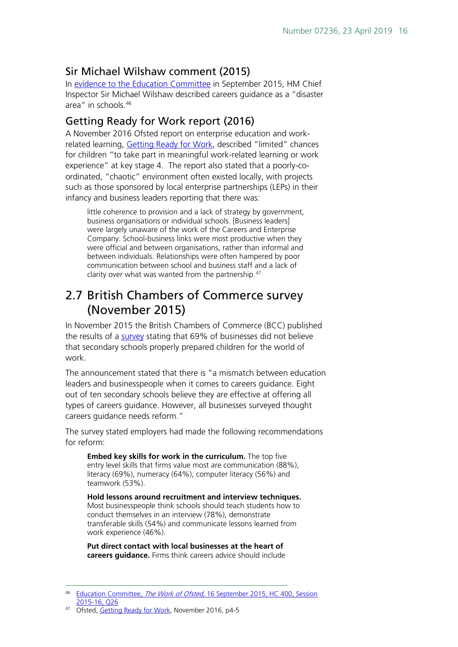#### <span id="page-15-0"></span>Sir Michael Wilshaw comment (2015)

In [evidence to the Education Committee](http://data.parliament.uk/writtenevidence/committeeevidence.svc/evidencedocument/education-committee/the-work-of-ofsted/oral/21696.pdf) in September 2015, HM Chief Inspector Sir Michael Wilshaw described careers guidance as a "disaster area" in schools.[46](#page-15-3)

#### <span id="page-15-1"></span>Getting Ready for Work report (2016)

A November 2016 Ofsted report on enterprise education and workrelated learning, [Getting Ready for Work,](https://www.gov.uk/government/publications/enterprise-education-how-secondary-schools-prepare-young-people-for-work) described "limited" chances for children "to take part in meaningful work-related learning or work experience" at key stage 4. The report also stated that a poorly-coordinated, "chaotic" environment often existed locally, with projects such as those sponsored by local enterprise partnerships (LEPs) in their infancy and business leaders reporting that there was:

little coherence to provision and a lack of strategy by government, business organisations or individual schools. [Business leaders] were largely unaware of the work of the Careers and Enterprise Company. School-business links were most productive when they were official and between organisations, rather than informal and between individuals. Relationships were often hampered by poor communication between school and business staff and a lack of clarity over what was wanted from the partnership.<sup>[47](#page-15-4)</sup>

## <span id="page-15-2"></span>2.7 British Chambers of Commerce survey (November 2015)

In November 2015 the British Chambers of Commerce (BCC) published the results of a [survey](http://www.britishchambers.org.uk/press-office/press-releases/bcc-businesses-and-schools-%E2%80%98still-worlds-apart%E2%80%99-on-readiness-for-work.html) stating that 69% of businesses did not believe that secondary schools properly prepared children for the world of work.

The announcement stated that there is "a mismatch between education leaders and businesspeople when it comes to careers guidance. Eight out of ten secondary schools believe they are effective at offering all types of careers guidance. However, all businesses surveyed thought careers guidance needs reform."

The survey stated employers had made the following recommendations for reform:

**Embed key skills for work in the curriculum.** The top five entry level skills that firms value most are communication (88%), literacy (69%), numeracy (64%), computer literacy (56%) and teamwork (53%).

**Hold lessons around recruitment and interview techniques.** Most businesspeople think schools should teach students how to conduct themselves in an interview (78%), demonstrate transferable skills (54%) and communicate lessons learned from work experience (46%).

**Put direct contact with local businesses at the heart of careers guidance.** Firms think careers advice should include

<span id="page-15-3"></span><sup>&</sup>lt;sup>46</sup> [Education Committee,](http://data.parliament.uk/writtenevidence/committeeevidence.svc/evidencedocument/education-committee/the-work-of-ofsted/oral/21696.pdf) *The Work of Ofsted*, 16 September 2015, HC 400, Session [2015-16,](http://data.parliament.uk/writtenevidence/committeeevidence.svc/evidencedocument/education-committee/the-work-of-ofsted/oral/21696.pdf) Q26

<span id="page-15-4"></span><sup>47</sup> Ofsted, [Getting Ready for Work,](https://www.gov.uk/government/uploads/system/uploads/attachment_data/file/571809/Getting_ready_for_work.pdf) November 2016, p4-5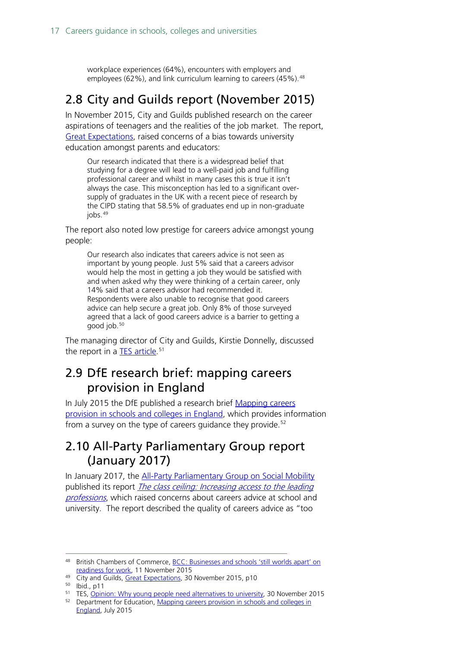workplace experiences (64%), encounters with employers and employees (62%), and link curriculum learning to careers (45%). <sup>[48](#page-16-3)</sup>

### <span id="page-16-0"></span>2.8 City and Guilds report (November 2015)

In November 2015, City and Guilds published research on the career aspirations of teenagers and the realities of the job market. The report, [Great Expectations,](http://www.cityandguilds.com/%7E/media/Documents/Courses-and-Quals/Apprenticeships/EMSI%20reports/cggreatexpectationsonline%20pdf.ashx) raised concerns of a bias towards university education amongst parents and educators:

Our research indicated that there is a widespread belief that studying for a degree will lead to a well-paid job and fulfilling professional career and whilst in many cases this is true it isn't always the case. This misconception has led to a significant oversupply of graduates in the UK with a recent piece of research by the CIPD stating that 58.5% of graduates end up in non-graduate jobs.<sup>[49](#page-16-4)</sup>

The report also noted low prestige for careers advice amongst young people:

Our research also indicates that careers advice is not seen as important by young people. Just 5% said that a careers advisor would help the most in getting a job they would be satisfied with and when asked why they were thinking of a certain career, only 14% said that a careers advisor had recommended it. Respondents were also unable to recognise that good careers advice can help secure a great job. Only 8% of those surveyed agreed that a lack of good careers advice is a barrier to getting a good job.[50](#page-16-5)

The managing director of City and Guilds, Kirstie Donnelly, discussed the report in a <u>TES article</u>.<sup>[51](#page-16-6)</sup>

## <span id="page-16-1"></span>2.9 DfE research brief: mapping careers provision in England

In July 2015 the DfE published a research brief [Mapping careers](https://www.gov.uk/government/publications/mapping-careers-provision-in-schools-and-colleges-in-england)  [provision in schools and colleges in England,](https://www.gov.uk/government/publications/mapping-careers-provision-in-schools-and-colleges-in-england) which provides information from a survey on the type of careers guidance they provide.<sup>[52](#page-16-7)</sup>

## <span id="page-16-2"></span>2.10 All-Party Parliamentary Group report (January 2017)

In January 2017, the [All-Party Parliamentary Group on Social Mobility](http://www.socialmobilityappg.co.uk/) published its report The class ceiling: Increasing access to the leading [professions](https://d3n8a8pro7vhmx.cloudfront.net/labourclp269/pages/941/attachments/original/1484611647/APPG_Report_-_Access_to_Leading_Professions_Inquiry.pdf?1484611647), which raised concerns about careers advice at school and university. The report described the quality of careers advice as "too

<span id="page-16-3"></span><sup>48</sup> British Chambers of Commerce, BCC: Businesses and schools 'still worlds apart' on [readiness for work,](http://www.britishchambers.org.uk/press-office/press-releases/bcc-businesses-and-schools-%E2%80%98still-worlds-apart%E2%80%99-on-readiness-for-work.html) 11 November 2015

<span id="page-16-4"></span><sup>&</sup>lt;sup>49</sup> City and Guilds, [Great Expectations,](http://www.cityandguilds.com/%7E/media/Documents/Courses-and-Quals/Apprenticeships/EMSI%20reports/cggreatexpectationsonline%20pdf.ashx) 30 November 2015, p10

<span id="page-16-5"></span><sup>50</sup> Ibid., p11

<sup>51</sup> TES, [Opinion: Why young people need alternatives to university,](https://www.tes.com/news/further-education/breaking-views/opinion-why-young-people-need-alternatives-university) 30 November 2015

<span id="page-16-7"></span><span id="page-16-6"></span><sup>&</sup>lt;sup>52</sup> Department for Education, Mapping careers provision in schools and colleges in [England,](https://www.gov.uk/government/publications/mapping-careers-provision-in-schools-and-colleges-in-england) July 2015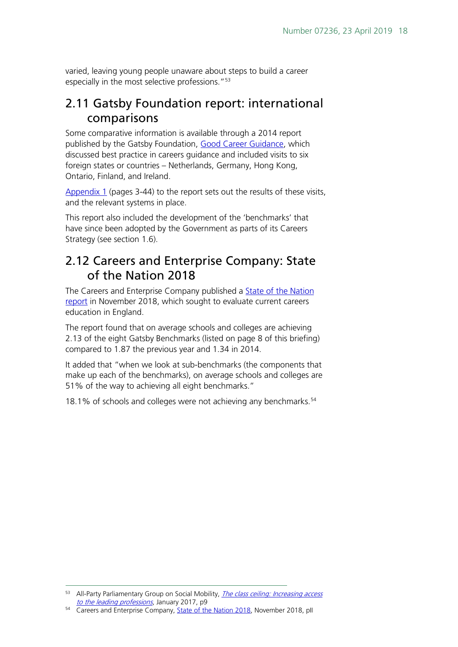varied, leaving young people unaware about steps to build a career especially in the most selective professions."<sup>[53](#page-17-2)</sup>

### <span id="page-17-0"></span>2.11 Gatsby Foundation report: international comparisons

Some comparative information is available through a 2014 report published by the Gatsby Foundation, [Good Career Guidance,](http://www.gatsby.org.uk/education/programmes/good-career-guidance) which discussed best practice in careers guidance and included visits to six foreign states or countries – Netherlands, Germany, Hong Kong, Ontario, Finland, and Ireland.

[Appendix 1](http://www.gatsby.org.uk/uploads/education/reports/pdf/gatsby-sir-john-holman-good-career-guidance-2014-appendices.pdf) (pages 3-44) to the report sets out the results of these visits, and the relevant systems in place.

This report also included the development of the 'benchmarks' that have since been adopted by the Government as parts of its Careers Strategy (see section 1.6).

### <span id="page-17-1"></span>2.12 Careers and Enterprise Company: State of the Nation 2018

The Careers and Enterprise Company published a [State of the Nation](https://www.careersandenterprise.co.uk/stateofthenation)  [report](https://www.careersandenterprise.co.uk/stateofthenation) in November 2018, which sought to evaluate current careers education in England.

The report found that on average schools and colleges are achieving 2.13 of the eight Gatsby Benchmarks (listed on page 8 of this briefing) compared to 1.87 the previous year and 1.34 in 2014.

It added that "when we look at sub-benchmarks (the components that make up each of the benchmarks), on average schools and colleges are 51% of the way to achieving all eight benchmarks."

18.1% of schools and colleges were not achieving any benchmarks. [54](#page-17-3)

<span id="page-17-2"></span><sup>&</sup>lt;sup>53</sup> All-Party Parliamentary Group on Social Mobility, *The class ceiling: Increasing access* [to the leading professions](https://d3n8a8pro7vhmx.cloudfront.net/labourclp269/pages/941/attachments/original/1484611647/APPG_Report_-_Access_to_Leading_Professions_Inquiry.pdf?1484611647), January 2017, p9

<span id="page-17-3"></span><sup>&</sup>lt;sup>54</sup> Careers and Enterprise Company, [State of the Nation 2018,](https://www.careersandenterprise.co.uk/sites/default/files/uploaded/1084_state_of_the_nation_v9_digital2.pdf) November 2018, pll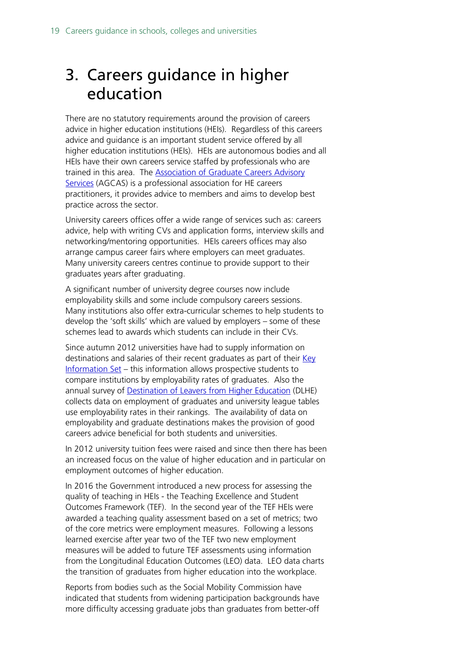## <span id="page-18-0"></span>3. Careers guidance in higher education

There are no statutory requirements around the provision of careers advice in higher education institutions (HEIs). Regardless of this careers advice and guidance is an important student service offered by all higher education institutions (HEIs). HEIs are autonomous bodies and all HEIs have their own careers service staffed by professionals who are trained in this area. The Association of Graduate Careers Advisory [Services](http://www.agcas.org.uk/search_tags?tag=careers+advice) (AGCAS) is a professional association for HE careers practitioners, it provides advice to members and aims to develop best practice across the sector.

University careers offices offer a wide range of services such as: careers advice, help with writing CVs and application forms, interview skills and networking/mentoring opportunities. HEIs careers offices may also arrange campus career fairs where employers can meet graduates. Many university careers centres continue to provide support to their graduates years after graduating.

A significant number of university degree courses now include employability skills and some include compulsory careers sessions. Many institutions also offer extra-curricular schemes to help students to develop the 'soft skills' which are valued by employers – some of these schemes lead to awards which students can include in their CVs.

Since autumn 2012 universities have had to supply information on destinations and salaries of their recent graduates as part of their [Key](https://unistats.direct.gov.uk/find-out-more/key-information-set)  [Information Set](https://unistats.direct.gov.uk/find-out-more/key-information-set) – this information allows prospective students to compare institutions by employability rates of graduates. Also the annual survey of [Destination of Leavers from Higher Education](https://unistats.direct.gov.uk/find-out-more/about-the-data/) (DLHE) collects data on employment of graduates and university league tables use employability rates in their rankings. The availability of data on employability and graduate destinations makes the provision of good careers advice beneficial for both students and universities.

In 2012 university tuition fees were raised and since then there has been an increased focus on the value of higher education and in particular on employment outcomes of higher education.

In 2016 the Government introduced a new process for assessing the quality of teaching in HEIs - the Teaching Excellence and Student Outcomes Framework (TEF). In the second year of the TEF HEIs were awarded a teaching quality assessment based on a set of metrics; two of the core metrics were employment measures. Following a lessons learned exercise after year two of the TEF two new employment measures will be added to future TEF assessments using information from the Longitudinal Education Outcomes (LEO) data. LEO data charts the transition of graduates from higher education into the workplace.

Reports from bodies such as the Social Mobility Commission have indicated that students from widening participation backgrounds have more difficulty accessing graduate jobs than graduates from better-off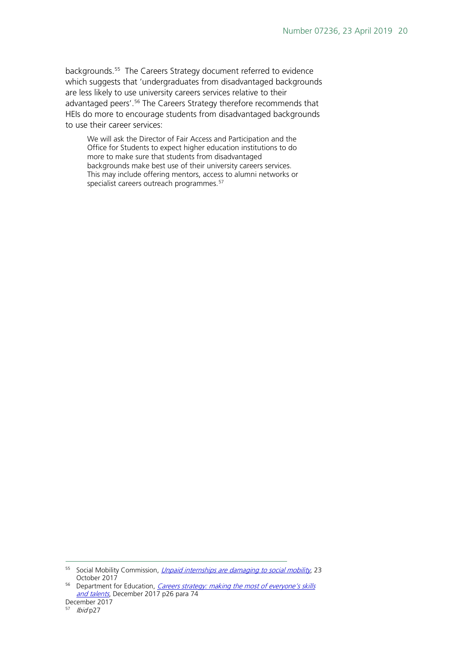backgrounds. [55](#page-19-0) The Careers Strategy document referred to evidence which suggests that 'undergraduates from disadvantaged backgrounds are less likely to use university careers services relative to their advantaged peers'.<sup>[56](#page-19-1)</sup> The Careers Strategy therefore recommends that HEIs do more to encourage students from disadvantaged backgrounds to use their career services:

We will ask the Director of Fair Access and Participation and the Office for Students to expect higher education institutions to do more to make sure that students from disadvantaged backgrounds make best use of their university careers services. This may include offering mentors, access to alumni networks or specialist careers outreach programmes.<sup>[57](#page-19-2)</sup>

<span id="page-19-0"></span><sup>55</sup> Social Mobility Commission, *[Unpaid internships are damaging to social mobility](https://www.gov.uk/government/news/unpaid-internships-are-damaging-to-social-mobility)*, 23 October 2017

<span id="page-19-1"></span><sup>&</sup>lt;sup>56</sup> Department for Education, *Careers strategy: making the most of everyone's skills* [and talents](https://www.gov.uk/government/uploads/system/uploads/attachment_data/file/664319/Careers_strategy.pdf), December 2017 p26 para 74

<span id="page-19-2"></span>December 2017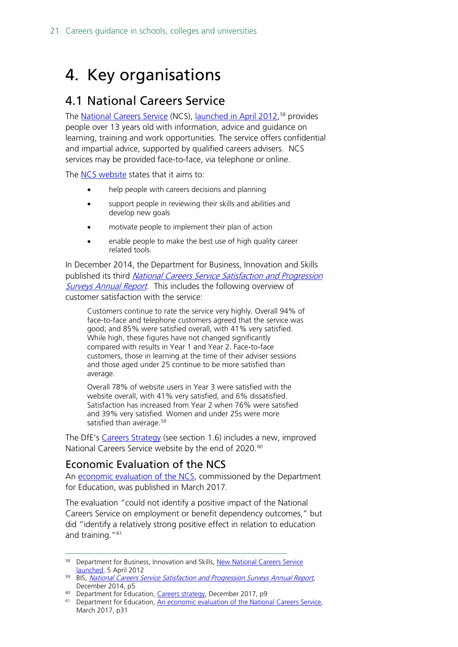## <span id="page-20-0"></span>4. Key organisations

### <span id="page-20-1"></span>4.1 National Careers Service

The <u>National Careers Service</u> (NCS), <u>launched in April 2012</u>,<sup>[58](#page-20-3)</sup> provides people over 13 years old with information, advice and guidance on learning, training and work opportunities. The service offers confidential and impartial advice, supported by qualified careers advisers. NCS services may be provided face-to-face, via telephone or online.

The [NCS website](https://nationalcareersservice.direct.gov.uk/aboutus/Pages/default.aspx) states that it aims to:

- help people with careers decisions and planning
- support people in reviewing their skills and abilities and develop new goals
- motivate people to implement their plan of action
- enable people to make the best use of high quality career related tools.

In December 2014, the Department for Business, Innovation and Skills published its third National Careers Service Satisfaction and Progression [Surveys Annual Report](https://www.gov.uk/government/uploads/system/uploads/attachment_data/file/384285/bis-14-p161-national-careers-service-satisfaction-and-progression-surveys-annual-report-2013-to-2014.pdf). This includes the following overview of customer satisfaction with the service:

Customers continue to rate the service very highly. Overall 94% of face-to-face and telephone customers agreed that the service was good; and 85% were satisfied overall, with 41% very satisfied. While high, these figures have not changed significantly compared with results in Year 1 and Year 2. Face-to-face customers, those in learning at the time of their adviser sessions and those aged under 25 continue to be more satisfied than average.

Overall 78% of website users in Year 3 were satisfied with the website overall, with 41% very satisfied, and 6% dissatisfied. Satisfaction has increased from Year 2 when 76% were satisfied and 39% very satisfied. Women and under 25s were more satisfied than average.<sup>[59](#page-20-4)</sup>

The DfE's [Careers Strategy](https://www.gov.uk/government/uploads/system/uploads/attachment_data/file/664319/Careers_strategy.pdf) (see section 1.6) includes a new, improved National Careers Service website by the end of 2020.<sup>[60](#page-20-5)</sup>

#### <span id="page-20-2"></span>Economic Evaluation of the NCS

An [economic evaluation of the NCS,](https://www.gov.uk/government/uploads/system/uploads/attachment_data/file/603929/National_Careers_Service_economic_evaluation.pdf) commissioned by the Department for Education, was published in March 2017.

The evaluation "could not identify a positive impact of the National Careers Service on employment or benefit dependency outcomes," but did "identify a relatively strong positive effect in relation to education and training."<sup>[61](#page-20-6)</sup>

<span id="page-20-3"></span><sup>58</sup> Department for Business, Innovation and Skills, New National Careers Service [launched,](https://www.gov.uk/government/news/new-national-careers-service-launched) 5 April 2012

<span id="page-20-4"></span><sup>59</sup> BIS, [National Careers Service Satisfaction and Progression Surveys Annual Report](https://www.gov.uk/government/uploads/system/uploads/attachment_data/file/384285/bis-14-p161-national-careers-service-satisfaction-and-progression-surveys-annual-report-2013-to-2014.pdf), December 2014, p5

<sup>&</sup>lt;sup>60</sup> Department for Education, [Careers strategy,](https://www.gov.uk/government/uploads/system/uploads/attachment_data/file/664319/Careers_strategy.pdf) December 2017, p9

<span id="page-20-6"></span><span id="page-20-5"></span><sup>&</sup>lt;sup>61</sup> Department for Education, An economic evaluation of the National Careers Service, March 2017, p31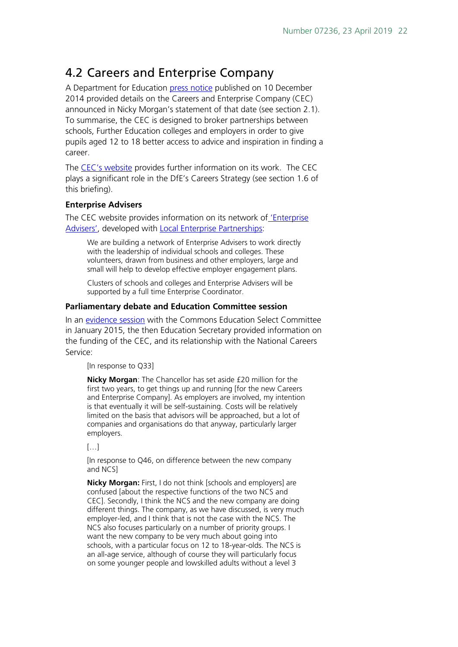### <span id="page-21-0"></span>4.2 Careers and Enterprise Company

A Department for Education [press notice](https://www.gov.uk/government/news/new-careers-and-enterprise-company-for-schools) published on 10 December 2014 provided details on the Careers and Enterprise Company (CEC) announced in Nicky Morgan's statement of that date (see section 2.1). To summarise, the CEC is designed to broker partnerships between schools, Further Education colleges and employers in order to give pupils aged 12 to 18 better access to advice and inspiration in finding a career.

The [CEC's website](http://www.careersandenterprise.co.uk/) provides further information on its work. The CEC plays a significant role in the DfE's Careers Strategy (see section 1.6 of this briefing).

#### **Enterprise Advisers**

The CEC website provides information on its network of ['Enterprise](https://www.careersandenterprise.co.uk/about-us/our-network)  [Advisers',](https://www.careersandenterprise.co.uk/about-us/our-network) developed with [Local Enterprise Partnerships:](https://www.lepnetwork.net/)

We are building a network of Enterprise Advisers to work directly with the leadership of individual schools and colleges. These volunteers, drawn from business and other employers, large and small will help to develop effective employer engagement plans.

Clusters of schools and colleges and Enterprise Advisers will be supported by a full time Enterprise Coordinator.

#### **Parliamentary debate and Education Committee session**

In an [evidence session](http://data.parliament.uk/writtenevidence/committeeevidence.svc/evidencedocument/education-committee/careers-guidance-followup/oral/17257.pdf) with the Commons Education Select Committee in January 2015, the then Education Secretary provided information on the funding of the CEC, and its relationship with the National Careers Service:

[In response to Q33]

**Nicky Morgan**: The Chancellor has set aside £20 million for the first two years, to get things up and running [for the new Careers and Enterprise Company]. As employers are involved, my intention is that eventually it will be self-sustaining. Costs will be relatively limited on the basis that advisors will be approached, but a lot of companies and organisations do that anyway, particularly larger employers.

 $[...]$ 

[In response to Q46, on difference between the new company and NCS]

**Nicky Morgan:** First, I do not think [schools and employers] are confused [about the respective functions of the two NCS and CEC]. Secondly, I think the NCS and the new company are doing different things. The company, as we have discussed, is very much employer-led, and I think that is not the case with the NCS. The NCS also focuses particularly on a number of priority groups. I want the new company to be very much about going into schools, with a particular focus on 12 to 18-year-olds. The NCS is an all-age service, although of course they will particularly focus on some younger people and lowskilled adults without a level 3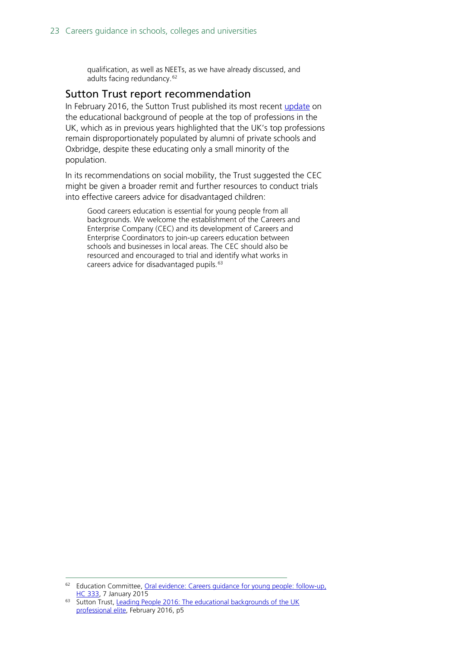qualification, as well as NEETs, as we have already discussed, and adults facing redundancy.<sup>[62](#page-22-1)</sup>

#### <span id="page-22-0"></span>Sutton Trust report recommendation

In February 2016, the Sutton Trust published its most recent [update](http://www.suttontrust.com/researcharchive/leading-people-2016/) on the educational background of people at the top of professions in the UK, which as in previous years highlighted that the UK's top professions remain disproportionately populated by alumni of private schools and Oxbridge, despite these educating only a small minority of the population.

In its recommendations on social mobility, the Trust suggested the CEC might be given a broader remit and further resources to conduct trials into effective careers advice for disadvantaged children:

Good careers education is essential for young people from all backgrounds. We welcome the establishment of the Careers and Enterprise Company (CEC) and its development of Careers and Enterprise Coordinators to join-up careers education between schools and businesses in local areas. The CEC should also be resourced and encouraged to trial and identify what works in careers advice for disadvantaged pupils.<sup>[63](#page-22-2)</sup>

<span id="page-22-1"></span><sup>&</sup>lt;sup>62</sup> Education Committee, Oral evidence: Careers guidance for young people: follow-up. [HC 333,](http://data.parliament.uk/writtenevidence/committeeevidence.svc/evidencedocument/education-committee/careers-guidance-followup/oral/17257.pdf) 7 January 2015

<span id="page-22-2"></span><sup>&</sup>lt;sup>63</sup> Sutton Trust, Leading People 2016: The educational backgrounds of the UK [professional elite,](http://www.suttontrust.com/wp-content/uploads/2016/02/Leading-People_Feb16.pdf) February 2016, p5